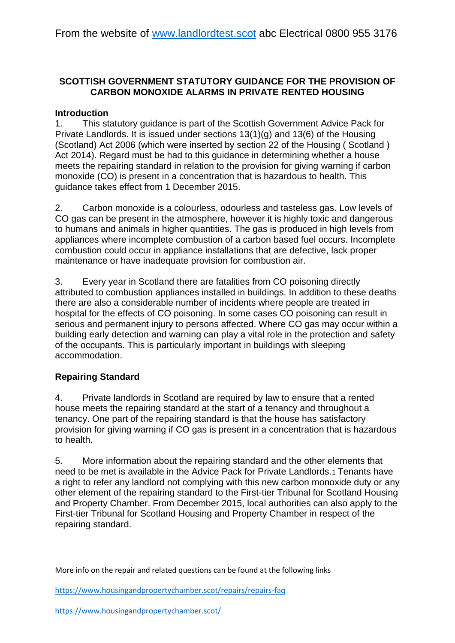### **SCOTTISH GOVERNMENT STATUTORY GUIDANCE FOR THE PROVISION OF CARBON MONOXIDE ALARMS IN PRIVATE RENTED HOUSING**

### **Introduction**

1. This statutory guidance is part of the Scottish Government Advice Pack for Private Landlords. It is issued under sections 13(1)(g) and 13(6) of the Housing (Scotland) Act 2006 (which were inserted by section 22 of the Housing ( Scotland ) Act 2014). Regard must be had to this guidance in determining whether a house meets the repairing standard in relation to the provision for giving warning if carbon monoxide (CO) is present in a concentration that is hazardous to health. This guidance takes effect from 1 December 2015.

2. Carbon monoxide is a colourless, odourless and tasteless gas. Low levels of CO gas can be present in the atmosphere, however it is highly toxic and dangerous to humans and animals in higher quantities. The gas is produced in high levels from appliances where incomplete combustion of a carbon based fuel occurs. Incomplete combustion could occur in appliance installations that are defective, lack proper maintenance or have inadequate provision for combustion air.

3. Every year in Scotland there are fatalities from CO poisoning directly attributed to combustion appliances installed in buildings. In addition to these deaths there are also a considerable number of incidents where people are treated in hospital for the effects of CO poisoning. In some cases CO poisoning can result in serious and permanent injury to persons affected. Where CO gas may occur within a building early detection and warning can play a vital role in the protection and safety of the occupants. This is particularly important in buildings with sleeping accommodation.

## **Repairing Standard**

4. Private landlords in Scotland are required by law to ensure that a rented house meets the repairing standard at the start of a tenancy and throughout a tenancy. One part of the repairing standard is that the house has satisfactory provision for giving warning if CO gas is present in a concentration that is hazardous to health.

5. More information about the repairing standard and the other elements that need to be met is available in the Advice Pack for Private Landlords.1 Tenants have a right to refer any landlord not complying with this new carbon monoxide duty or any other element of the repairing standard to the First-tier Tribunal for Scotland Housing and Property Chamber. From December 2015, local authorities can also apply to the First-tier Tribunal for Scotland Housing and Property Chamber in respect of the repairing standard.

More info on the repair and related questions can be found at the following links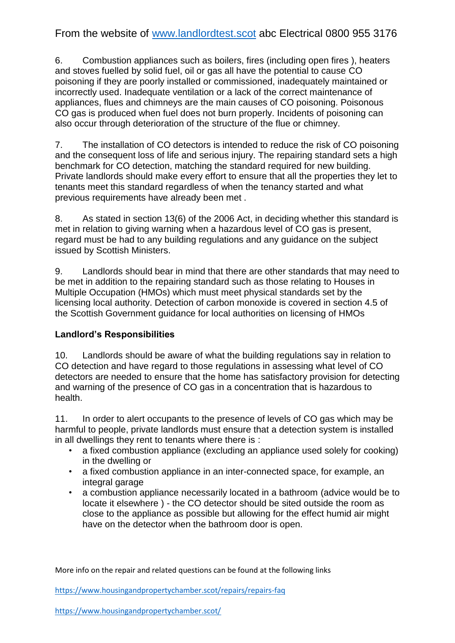6. Combustion appliances such as boilers, fires (including open fires ), heaters and stoves fuelled by solid fuel, oil or gas all have the potential to cause CO poisoning if they are poorly installed or commissioned, inadequately maintained or incorrectly used. Inadequate ventilation or a lack of the correct maintenance of appliances, flues and chimneys are the main causes of CO poisoning. Poisonous CO gas is produced when fuel does not burn properly. Incidents of poisoning can also occur through deterioration of the structure of the flue or chimney.

7. The installation of CO detectors is intended to reduce the risk of CO poisoning and the consequent loss of life and serious injury. The repairing standard sets a high benchmark for CO detection, matching the standard required for new building. Private landlords should make every effort to ensure that all the properties they let to tenants meet this standard regardless of when the tenancy started and what previous requirements have already been met .

8. As stated in section 13(6) of the 2006 Act, in deciding whether this standard is met in relation to giving warning when a hazardous level of CO gas is present, regard must be had to any building regulations and any guidance on the subject issued by Scottish Ministers.

9. Landlords should bear in mind that there are other standards that may need to be met in addition to the repairing standard such as those relating to Houses in Multiple Occupation (HMOs) which must meet physical standards set by the licensing local authority. Detection of carbon monoxide is covered in section 4.5 of the Scottish Government guidance for local authorities on licensing of HMOs

#### **Landlord's Responsibilities**

10. Landlords should be aware of what the building regulations say in relation to CO detection and have regard to those regulations in assessing what level of CO detectors are needed to ensure that the home has satisfactory provision for detecting and warning of the presence of CO gas in a concentration that is hazardous to health.

11. In order to alert occupants to the presence of levels of CO gas which may be harmful to people, private landlords must ensure that a detection system is installed in all dwellings they rent to tenants where there is :

- a fixed combustion appliance (excluding an appliance used solely for cooking) in the dwelling or
- a fixed combustion appliance in an inter-connected space, for example, an integral garage
- a combustion appliance necessarily located in a bathroom (advice would be to locate it elsewhere ) - the CO detector should be sited outside the room as close to the appliance as possible but allowing for the effect humid air might have on the detector when the bathroom door is open.

More info on the repair and related questions can be found at the following links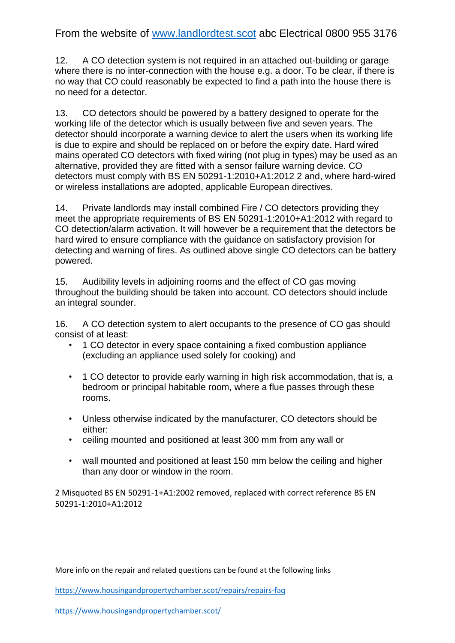12. A CO detection system is not required in an attached out-building or garage where there is no inter-connection with the house e.g. a door. To be clear, if there is no way that CO could reasonably be expected to find a path into the house there is no need for a detector.

13. CO detectors should be powered by a battery designed to operate for the working life of the detector which is usually between five and seven years. The detector should incorporate a warning device to alert the users when its working life is due to expire and should be replaced on or before the expiry date. Hard wired mains operated CO detectors with fixed wiring (not plug in types) may be used as an alternative, provided they are fitted with a sensor failure warning device. CO detectors must comply with BS EN 50291-1:2010+A1:2012 2 and, where hard-wired or wireless installations are adopted, applicable European directives.

14. Private landlords may install combined Fire / CO detectors providing they meet the appropriate requirements of BS EN 50291-1:2010+A1:2012 with regard to CO detection/alarm activation. It will however be a requirement that the detectors be hard wired to ensure compliance with the guidance on satisfactory provision for detecting and warning of fires. As outlined above single CO detectors can be battery powered.

15. Audibility levels in adjoining rooms and the effect of CO gas moving throughout the building should be taken into account. CO detectors should include an integral sounder.

16. A CO detection system to alert occupants to the presence of CO gas should consist of at least:

- 1 CO detector in every space containing a fixed combustion appliance (excluding an appliance used solely for cooking) and
- 1 CO detector to provide early warning in high risk accommodation, that is, a bedroom or principal habitable room, where a flue passes through these rooms.
- Unless otherwise indicated by the manufacturer, CO detectors should be either:
- ceiling mounted and positioned at least 300 mm from any wall or
- wall mounted and positioned at least 150 mm below the ceiling and higher than any door or window in the room.

2 Misquoted BS EN 50291-1+A1:2002 removed, replaced with correct reference BS EN 50291-1:2010+A1:2012

More info on the repair and related questions can be found at the following links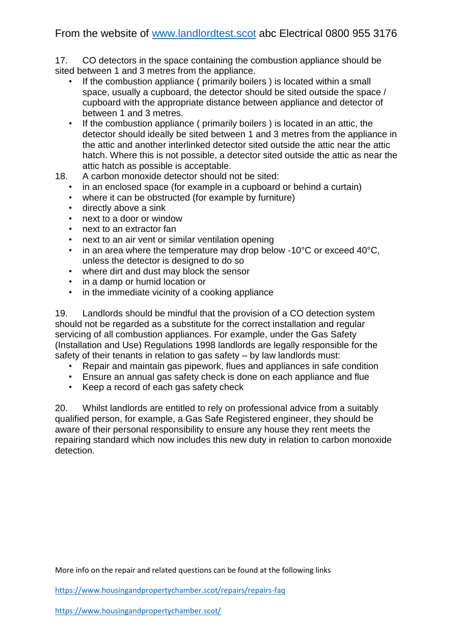17. CO detectors in the space containing the combustion appliance should be sited between 1 and 3 metres from the appliance.

- If the combustion appliance ( primarily boilers ) is located within a small space, usually a cupboard, the detector should be sited outside the space / cupboard with the appropriate distance between appliance and detector of between 1 and 3 metres.
- If the combustion appliance ( primarily boilers ) is located in an attic, the detector should ideally be sited between 1 and 3 metres from the appliance in the attic and another interlinked detector sited outside the attic near the attic hatch. Where this is not possible, a detector sited outside the attic as near the attic hatch as possible is acceptable.
- 18. A carbon monoxide detector should not be sited:
	- in an enclosed space (for example in a cupboard or behind a curtain)
	- where it can be obstructed (for example by furniture)
	- directly above a sink
	- next to a door or window
	- next to an extractor fan
	- next to an air vent or similar ventilation opening
	- in an area where the temperature may drop below -10°C or exceed 40°C. unless the detector is designed to do so
	- where dirt and dust may block the sensor
	- in a damp or humid location or
	- in the immediate vicinity of a cooking appliance

19. Landlords should be mindful that the provision of a CO detection system should not be regarded as a substitute for the correct installation and regular servicing of all combustion appliances. For example, under the Gas Safety (Installation and Use) Regulations 1998 landlords are legally responsible for the safety of their tenants in relation to gas safety – by law landlords must:

- Repair and maintain gas pipework, flues and appliances in safe condition
- Ensure an annual gas safety check is done on each appliance and flue
- Keep a record of each gas safety check

20. Whilst landlords are entitled to rely on professional advice from a suitably qualified person, for example, a Gas Safe Registered engineer, they should be aware of their personal responsibility to ensure any house they rent meets the repairing standard which now includes this new duty in relation to carbon monoxide detection.

More info on the repair and related questions can be found at the following links